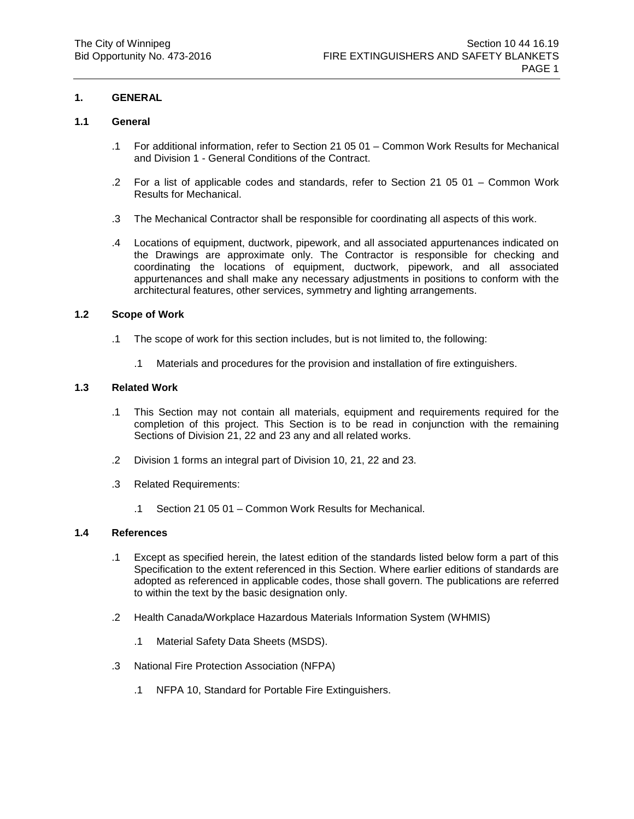## **1. GENERAL**

## **1.1 General**

- .1 For additional information, refer to Section 21 05 01 Common Work Results for Mechanical and Division 1 - General Conditions of the Contract.
- .2 For a list of applicable codes and standards, refer to Section 21 05 01 Common Work Results for Mechanical.
- .3 The Mechanical Contractor shall be responsible for coordinating all aspects of this work.
- .4 Locations of equipment, ductwork, pipework, and all associated appurtenances indicated on the Drawings are approximate only. The Contractor is responsible for checking and coordinating the locations of equipment, ductwork, pipework, and all associated appurtenances and shall make any necessary adjustments in positions to conform with the architectural features, other services, symmetry and lighting arrangements.

### **1.2 Scope of Work**

- .1 The scope of work for this section includes, but is not limited to, the following:
	- .1 Materials and procedures for the provision and installation of fire extinguishers.

## **1.3 Related Work**

- .1 This Section may not contain all materials, equipment and requirements required for the completion of this project. This Section is to be read in conjunction with the remaining Sections of Division 21, 22 and 23 any and all related works.
- .2 Division 1 forms an integral part of Division 10, 21, 22 and 23.
- .3 Related Requirements:
	- .1 Section 21 05 01 Common Work Results for Mechanical.

### **1.4 References**

- .1 Except as specified herein, the latest edition of the standards listed below form a part of this Specification to the extent referenced in this Section. Where earlier editions of standards are adopted as referenced in applicable codes, those shall govern. The publications are referred to within the text by the basic designation only.
- .2 Health Canada/Workplace Hazardous Materials Information System (WHMIS)
	- .1 Material Safety Data Sheets (MSDS).
- .3 National Fire Protection Association (NFPA)
	- .1 NFPA 10, Standard for Portable Fire Extinguishers.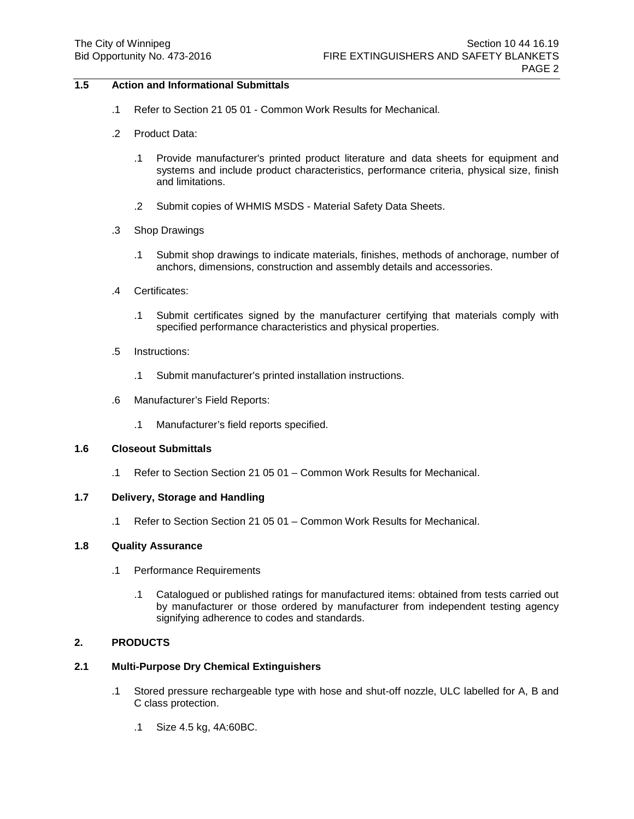## **1.5 Action and Informational Submittals**

- .1 Refer to Section 21 05 01 Common Work Results for Mechanical.
- .2 Product Data:
	- .1 Provide manufacturer's printed product literature and data sheets for equipment and systems and include product characteristics, performance criteria, physical size, finish and limitations.
	- .2 Submit copies of WHMIS MSDS Material Safety Data Sheets.
- .3 Shop Drawings
	- .1 Submit shop drawings to indicate materials, finishes, methods of anchorage, number of anchors, dimensions, construction and assembly details and accessories.
- .4 Certificates:
	- .1 Submit certificates signed by the manufacturer certifying that materials comply with specified performance characteristics and physical properties.
- .5 Instructions:
	- .1 Submit manufacturer's printed installation instructions.
- .6 Manufacturer's Field Reports:
	- .1 Manufacturer's field reports specified.

### **1.6 Closeout Submittals**

.1 Refer to Section Section 21 05 01 – Common Work Results for Mechanical.

### **1.7 Delivery, Storage and Handling**

.1 Refer to Section Section 21 05 01 – Common Work Results for Mechanical.

# **1.8 Quality Assurance**

- .1 Performance Requirements
	- .1 Catalogued or published ratings for manufactured items: obtained from tests carried out by manufacturer or those ordered by manufacturer from independent testing agency signifying adherence to codes and standards.

## **2. PRODUCTS**

## **2.1 Multi-Purpose Dry Chemical Extinguishers**

- .1 Stored pressure rechargeable type with hose and shut-off nozzle, ULC labelled for A, B and C class protection.
	- .1 Size 4.5 kg, 4A:60BC.